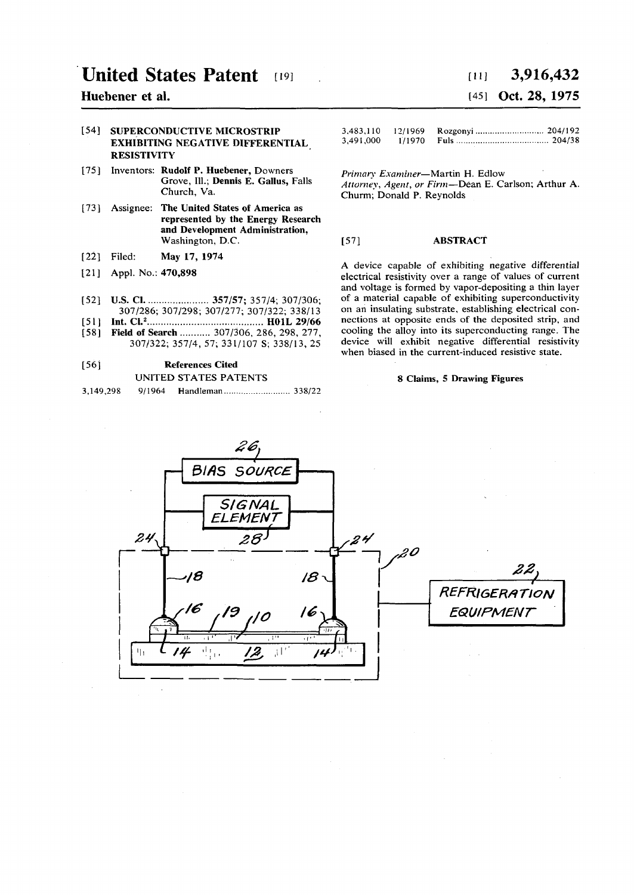# **United States Patent [19]**

# **Huebener et al.**

# **[54] SUPERCONDUCTIVE MICROSTRIP EXHIBITING NEGATIVE DIFFERENTIAL RESISTIVITY**

- **[75] Inventors: Rudolf P. Huebener, Downers Grove, 111.; Dennis E. Gallus, Falls Church, Va.**
- **[73] Assignee: The United States of America as represented by the Energy Research and Development Administration, Washington, D.C.**
- **[22] Filed: May 17, 1974**
- **[21] Appl. No.: 470,898**
- **[52] U.S. CI 357/57; 357/4; 307/306; 307/286; 307/298; 307/277; 307/322; 338/13**
- **[51] Int. CI.<sup>2</sup> H01L 29/66**
- **[58] Field of Search 307/306, 286, 298, 277, 307/322; 357/4, 57; 331/107 S; 338/13, 25**

### **[56] References Cited**

# **UNITED STATES PATENTS**

| 9/1964<br>3,149,298 |  |  |
|---------------------|--|--|
|---------------------|--|--|

# *Hi]* **3,916,432**  [45] **Oct. 28, 1975**

| 3,491,000 |  |  |
|-----------|--|--|

*Primary Examiner***—Martin H. Edlow**  *Attorney, Agent, or Firm***—Dean E. Carlson; Arthur A. Churm; Donald P. Reynolds** 

## **[57] ABSTRACT**

**A device capable of exhibiting negative differential electrical resistivity over a range of values of current and voltage is formed by vapor-depositing a thin layer of a material capable of exhibiting superconductivity on an insulating substrate, establishing electrical connections at opposite ends of the deposited strip, and cooling the alloy into its superconducting range. The device will exhibit negative differential resistivity when biased in the current-induced resistive state.** 

### **8 Claims, 5 Drawing Figures**

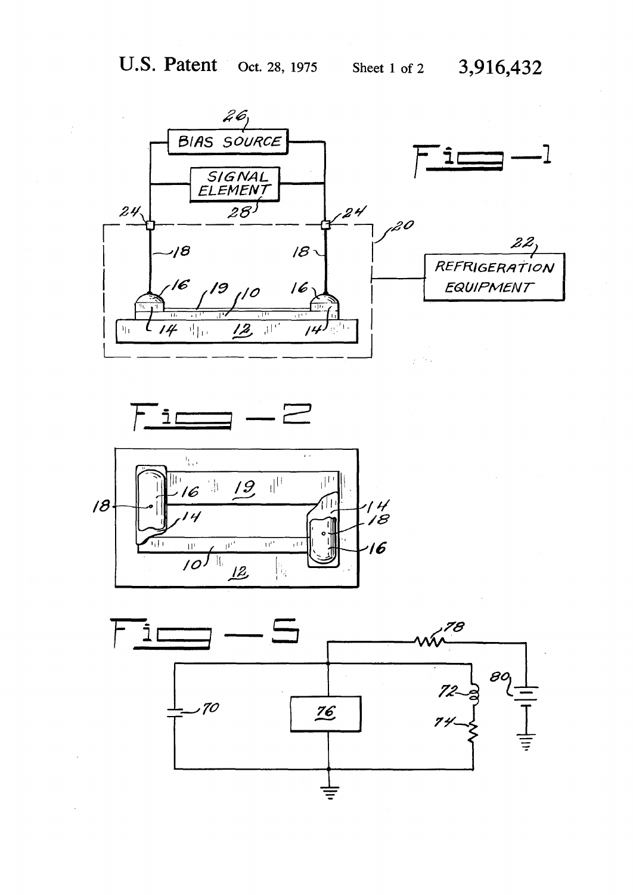





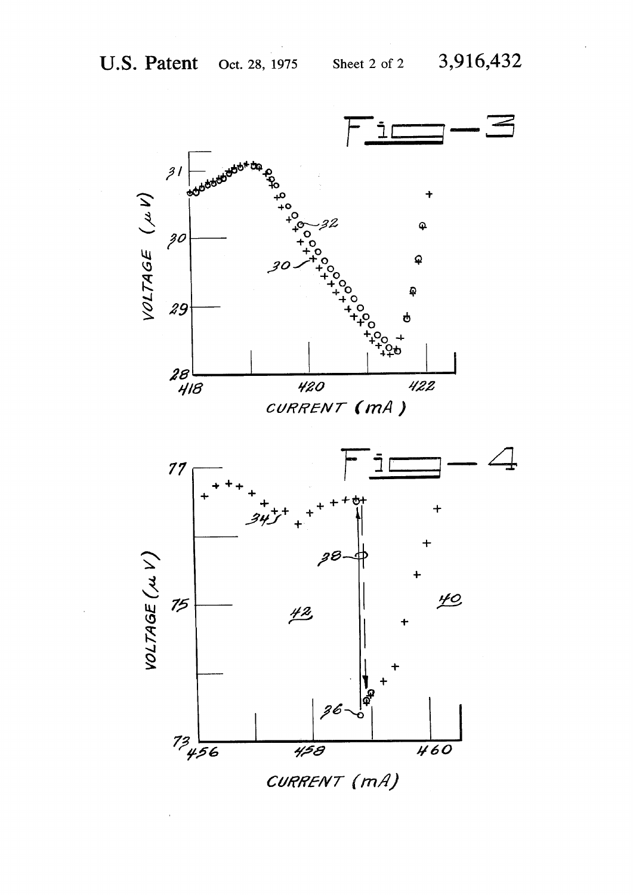

CURRENT (mA)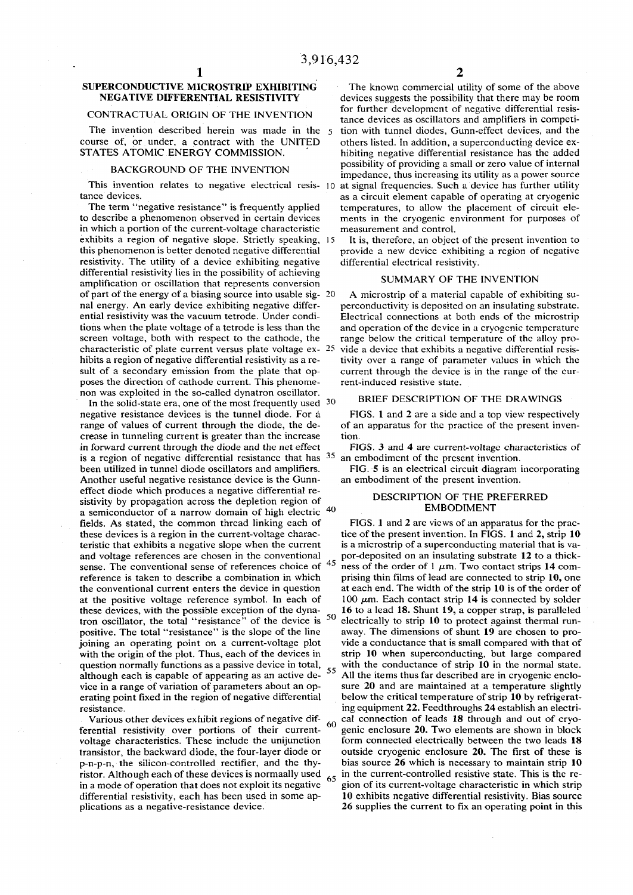### **BACKGROUND OF THE INVENTION**

**in which a portion of the current-voltage characteristic measurement and control. exhibits a region of negative slope. Strictly speaking, 15 It is, therefore, an object of the present invention to resistivity. The utility of a device exhibiting negative differential electrical resistivity, differential resistivity lies in the possibility of achieving amplification or oscillation that represents conversion of part of the energy of a biasing source into usable sig- 20 A microstrip of a material capable of exhibiting suposes the direction of cathode current. This phenome- rent-induced resistive state. non was exploited in the so-called dynatron oscillator. BRIEF DESCRIPTION OF THE DRAWINGS** 

In the solid-state era, one of the most frequently used <sup>30</sup> **negative resistance devices is the tunnel diode. For a FIGS. 1 and 2 are a side and a top view respectively range of values of current through the diode, the de- of an apparatus for the practice of the present invencrease in tunneling current is greater than the increase** tion.<br> **in forward current through the diode and the net effect** FIGS. 3 and 4 are current-voltage characteristics of in forward current through the diode and the net effect **is a region of negative differential resistance that has 3 5 been utilized in tunnel diode oscillators and amplifiers. FIG. 5 is an electrical circuit diagram incorporating Another useful negative resistance device is the Gunn- an embodiment of the present invention. effect diode which produces a negative differential resistivity by propagation across the depletion region of a semiconductor of a narrow domain of high electric fields.** As stated, the common thread linking each of FIGS. 1 and 2 are views of an apparatus for the prac-<br>tice of the present invention. In FIGS. 1 and 2, strip 10 and voltage references are chosen in the conventional **sense. The conventional sense of references choice of tron oscillator, the total "resistance" of the device is 5 0**

**SUPERCONDUCTIVE MICROSTRIP EXHIBITING** The known commercial utility of some of the above **NEGATIVE DIFFERENTIAL RESISTIVITY** devices suggests the possibility that there may be room CONTRACTUAL ORIGIN OF THE INVENTION for further development of negative differential resis<br>tance devices as oscillators and amplifiers in competifor further development of negative differential resis-**The invention described herein was made in the 5 tion with tunnel diodes, Gunn-effect devices, and the course of, or under, a contract with the UNITED** others listed. In addition, a superconducting device ex-<br>**STATES ATOMIC ENERGY COMMISSION**. bibiting negative differential resistance has the added hibiting negative differential resistance has the added **possibility of providing a small or zero value of internal impedance, thus increasing its utility as a power source**  This invention relates to negative electrical resis- 10 at signal frequencies. Such a device has further utility tance devices.<br>as a circuit element capable of operating at cryogenic **tance devices. as a circuit element capable of operating at cryogenic The term "negative resistance" is frequently applied temperatures, to allow the placement of circuit eleto describe a phenomenon observed in certain devices ments in the cryogenic environment for purposes of** 

provide a new device exhibiting a region of negative

## **SUMMARY OF THE INVENTION**

**nal energy. An early device exhibiting negative differ- perconductivity is deposited on an insulating substrate,**  Electrical connections at both ends of the microstrip **tions when the plate voltage of a tetrode is less than the and operation of the device in a cryogenic temperature screen voltage, both with respect to the cathode, the range below the critical temperature of the alloy procharacteristic of plate current versus plate voltage ex- 25 vide a device that exhibits a negative differential resishibits a region of negative differential resistivity as a re- tivity over a range of parameter values in which the**  sult of a secondary emission from the plate that op- current through the device is in the range of the cur-

 **an embodiment of the present invention,** 

## **DESCRIPTION OF THE PREFERRED**  40 **EMBODIMENT**

**these device of the present invention. In FIGS. 1 and 2, strip 10** is a microstrip of a superconducting material that is va**teristic that exhibits a negative slope when the current** is a microstrip of a superconducting material that is va-<br>and voltage references are chosen in the conventional por-deposited on an insulating substrate 12 to a th  **4 5** ness of the order of  $1 \mu m$ . Two contact strips 14 com**reference is taken to describe a combination in which prising thin films of lead are connected to strip 10, one the conventional current enters the device in question at each end. The width of the strip 10 is of the order of**  at the positive voltage reference symbol. In each of  $100 \mu m$ . Each contact strip 14 is connected by solder **these devices, with the possible exception of the dyna- 16 to a lead 18. Shunt 19, a copper strap, is paralleled electrically to strip 10 to protect against thermal runpositive. The total "resistance" is the slope of the line away. The dimensions of shunt 19 are chosen to projoining an operating point on a current-voltage plot vide a conductance that is small compared with that of**  with the origin of the plot. Thus, each of the devices in strip 10 when superconducting, but large compared question normally functions as a passive device in total, <sub>55</sub> with the conductance of strip 10 in the normal state. although each is capable of appearing as an active de-<sup>55</sup> All the items thus far described are in cryogenic enclo**vice in a range of variation of parameters about an op- sure 20 and are maintained at a temperature slightly erating point fixed in the region of negative differential below the critical temperature of strip 10 by refrigeratresistance. ing equipment 22. Feedthroughs 24 establish an electri-**Various other devices exhibit regions of negative dif- $\frac{60}{60}$  cal connection of leads 18 through and out of cryoferential resistivity over portions of their current- <sup>oo</sup> genic enclosure 20. Two elements are shown in block **voltage characteristics. These include the unijunction form connected electrically between the two leads 18 transistor, the backward diode, the four-layer diode or outside cryogenic enclosure 20. The first of these is p-n-p-n, the silicon-controlled rectifier, and the thy- bias source 26 which is necessary to maintain strip 10 ristor. Although each of these devices is normaally used<sup>6</sup> <sup>5</sup> in the current-controlled resistive state. This is the re**in a mode of operation that does not exploit its negative <sup>55</sup> gion of its current-voltage characteristic in which strip **differential resistivity, each has been used in some ap- 10 exhibits negative differential resistivity. Bias source plications as a negative-resistance device. 26 supplies the current to fix an operating point in this**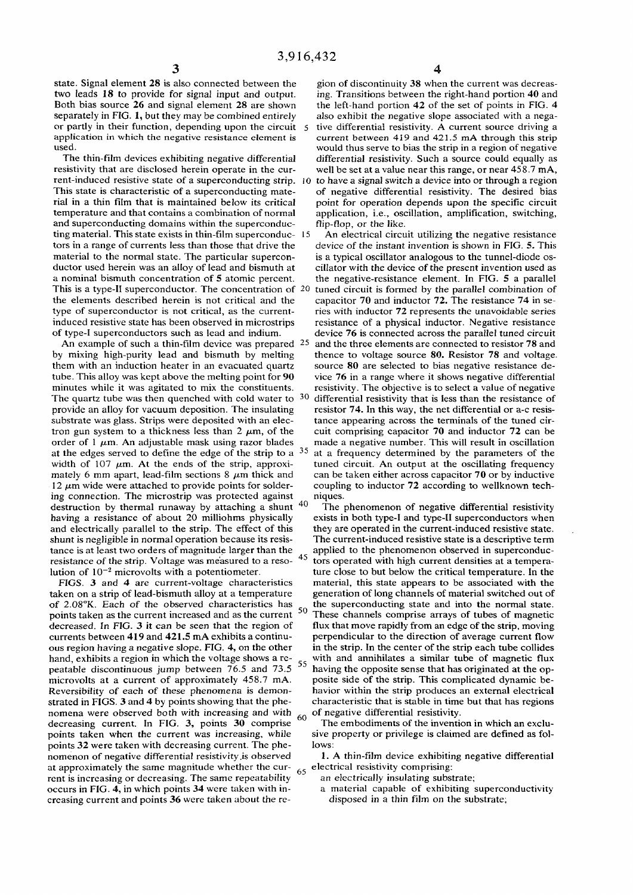**state. Signal element 28 is also connected between the** gion of discontinuity 38 when the current was decreastive leads 18 to provide for signal input and output. ing. Transitions between the right-hand portion 40 and **separately in FIG. 1, but they may be combined entirely also exhibit the negative slope associated with a negaor partly in their function, depending upon the circuit 5 tive differential resistivity. A current source driving a**  application in which the negative resistance element is used.

**rent-induced resistive state of a superconducting strip. 10 to have a signal switch a device into or through a region rial in a thin film that is maintained below its critical point for operation depends upon the specific circuit temperature and that contains a combination of normal application, i.e., oscillation, amplification, switching,**  and superconducting domains within the superconduc-<br>
ting material. This state exists in thin-film superconduc- 15 An electrical circuit utilizing the negative resistance **ting material. This state exists in thin-film superconduc-** 15 **tors in a range of currents less than those that drive the device of the instant invention is shown in FIG. 5. This material to the normal state. The particular supercon- is a typical oscillator analogous to the tunnel-diode osductor used herein was an alloy of lead and bismuth at cillator with the device of the present invention used as a nominal bismuth concentration of 5 atomic percent. the negative-resistance element. In FIG. 5 a parallel This is a type-II superconductor. The concentration of 20 tuned circuit is formed by the parallel combination of the elements described herein is not critical and the capacitor 70 and inductor 72. The resistance 74 in setype of superconductor is not critical, as the current- ries with inductor 72 represents the unavoidable series induced resistive state has been observed in microstrips resistance of a physical inductor. Negative resistance of type-I superconductors such as lead and indium. device 76 is connected across the parallel tuned circuit** 

An example of such a thin-film device was prepared <sup>2</sup><sup>2</sup> them with an induction heater in an evacuated quartz source 80 are selected to bias negative resistance detube. This alloy was kept above the melting point for 90 vice 76 in a range where it shows negative differential tube. This alloy was kept above the melting point for 90 **minutes while it was agitated to mix the constituents. resistivity. The objective is to select a value of negative The quartz tube was then quenched with cold water to 3 0 provide an alloy for vacuum deposition. The insulating resistor 74. In this way, the net differential or a-c resissubstrate was glass. Strips were deposited with an elec- tance appearing across the terminals of the tuned cir**tron gun system to a thickness less than  $2 \mu m$ , of the cuit comprising capacitor 70 and inductor 72 can be order of 1  $\mu$ m. An adjustable mask using razor blades made a negative number. This will result in oscillation at the edges served to define the edge of the strip to a <sup>35</sup> width of 107  $\mu$ m. At the ends of the strip, approxiwidth of 107  $\mu$ m. At the ends of the strip, approxi-<br>mately 6 mm apart, lead-film sections 8  $\mu$ m thick and can be taken either across capacitor 70 or by inductive 12  $\mu$ m wide were attached to provide points for solder- coupling to inductor 72 according to wellknown teching connection. The microstrip was protected against niques.<br>destruction by thermal runaway by attaching a shunt <sup>40</sup> The phenomenon of negative differential resistivity destruction by thermal runaway by attaching a shunt tance is at least two orders of magnitude larger than the resistance of the strip. Voltage was measured to a resolution of  $10^{-2}$  microvolts with a potentiometer.<br>FIGS. 3 and 4 are current-voltage characteristics

of 2.08°K. Each of the observed characteristics has the superconducting state and into the normal state. points taken as the current increased and as the current <sup>50</sup> These channels comprise arrays of tubes of magnetic **currents between 419 and 421.5 mA exhibits a continu- perpendicular to the direction of average current flow ous region having a negative slope. FIG. 4, on the other hand, exhibits a region in which the voltage shows a re**peatable discontinuous jump between 76.5 and 73.5 <sup>55</sup> microvolts at a current of approximately 458.7 mA. posite side of the strip. This complicated dynamic be-<br>Reversibility of each of these phenomena is demon-<br>havior within the strip produces an external electrical Reversibility of each of these phenomena is demon-<br> **Reversibility of each of these phenomena** is demon-<br> **Reversibility of each of these phenomena** is demon-<br> **Contacteristic that is stable in time but that has regions** strated in FIGS. 3 and 4 by points showing that the phenomena were observed both with increasing and with  $\frac{60}{2}$  of negative differential resistivity.<br>
decreasing current. In FIG. 3, points 30 comprise The embodiments of the invention in which an excludecreasing current. In FIG. 3, points 30 comprise points taken when the current was increasing, while sive property or privilege is claimed are defined as folpoints 32 were taken with decreasing current. The phe-<br>nomenon of negative differential resistivity is observed **1.** A thin-film device exhibiting negative differential nomenon of negative differential resistivity is observed at approximately the same magnitude whether the cur- <sub>65</sub> electrical resistivity comprising: rent is increasing or decreasing. The same repeatability <sup>37</sup> an electrically insulating substrate;<br>
occurs in FIG. 4, in which points 34 were taken with in-<br>
a material capable of exhibiting superconductivity **occurs in FIG. 4, in which points 34 were taken with increasing current and points 36 were taken about the re- disposed in a thin film on the substrate;** 

**two leads 18 to provide for signal input and output. ing. Transitions between the right-hand portion 40 and**  the left-hand portion 42 of the set of points in FIG. 4 **used. would thus serve to bias the strip in a region of negative**  The thin-film devices exhibiting negative differential differential resistivity. Such a source could equally as resistivity that are disclosed herein operate in the cur-<br>well be set at a value near this range, or near 458. well be set at a value near this range, or near 458.7 mA, of negative differential resistivity. The desired bias

 **and the three elements are connected to resistor 78 and by mixing high-purity lead and bismuth by melting thence to voltage source 80. Resistor 78 and voltage, differential resistivity that is less than the resistance of at a frequency determined by the parameters of the**  can be taken either across capacitor 70 or by inductive

**having a resistance of about 20 milliohms physically** exists in both type-I and type-II superconductors when and electrically parallel to the strip. The effect of this they are operated in the current-induced resistive st and electrically parallel to the strip. The effect of this they are operated in the current-induced resistive state state.<br> **Shunt is negligible in normal operation because its resis** The current-induced resistive state is The current-induced resistive state is a descriptive term applied to the phenomenon observed in superconduc **tors operated with high current densities at a tempera**ture close to but below the critical temperature. In the material, this state appears to be associated with the taken on a strip of lead-bismuth alloy at a temperature generation of long channels of material switched out of of 2.08°K. Each of the observed characteristics has <sub>c</sub> the superconducting state and into the normal state. These channels comprise arrays of tubes of magnetic decreased. In FIG. 3 it can be seen that the region of flux that move rapidly from an edge of the strip, moving currents between 419 and 421.5 mA exhibits a continu-<br>perpendicular to the direction of average current flow with and annihilates a similar tube of magnetic flux having the opposite sense that has originated at the op-